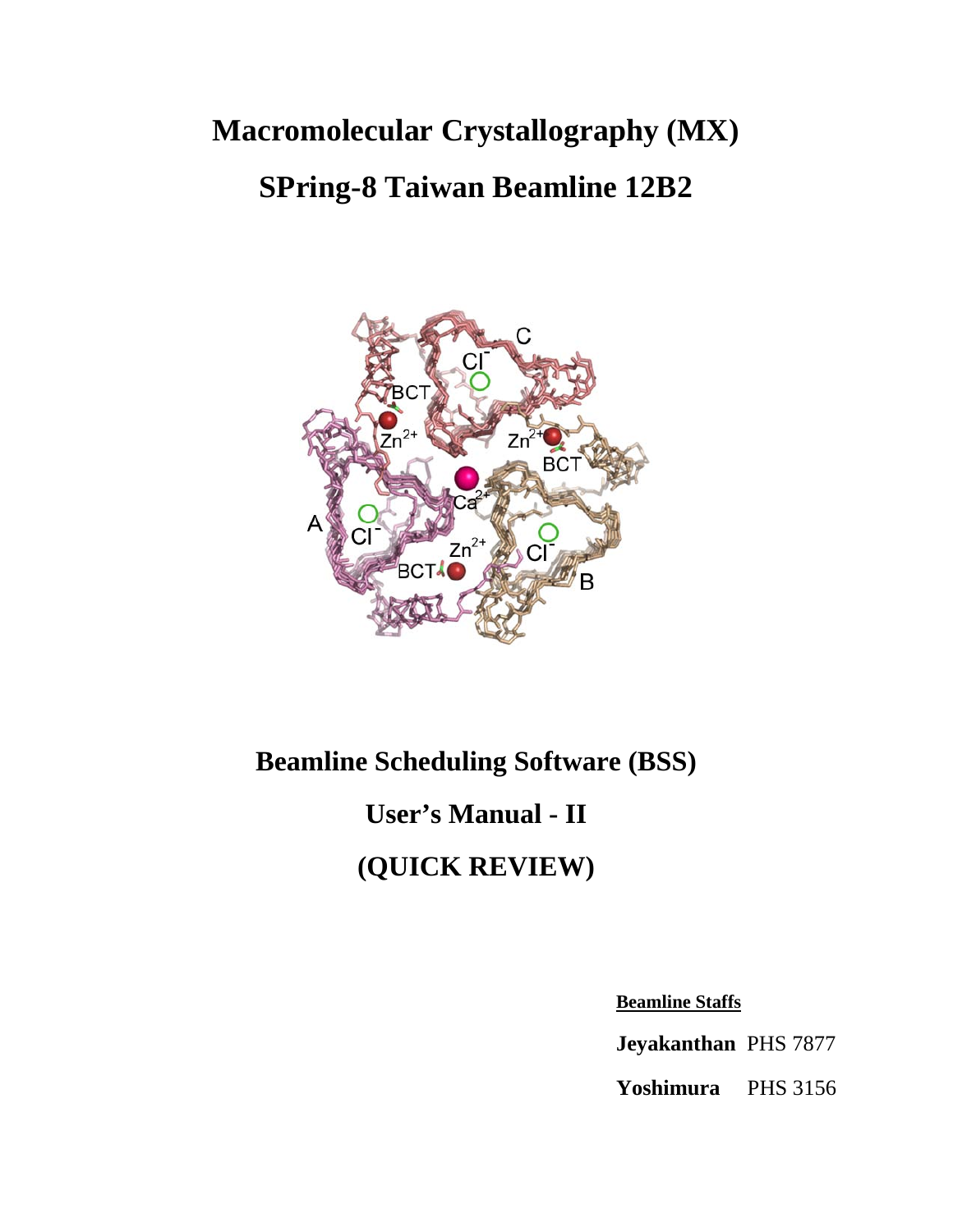# **Macromolecular Crystallography (MX) SPring-8 Taiwan Beamline 12B2**



# **Beamline Scheduling Software (BSS) User's Manual - II (QUICK REVIEW)**

**Beamline Staffs** 

**Jeyakanthan** PHS 7877

**Yoshimura** PHS 3156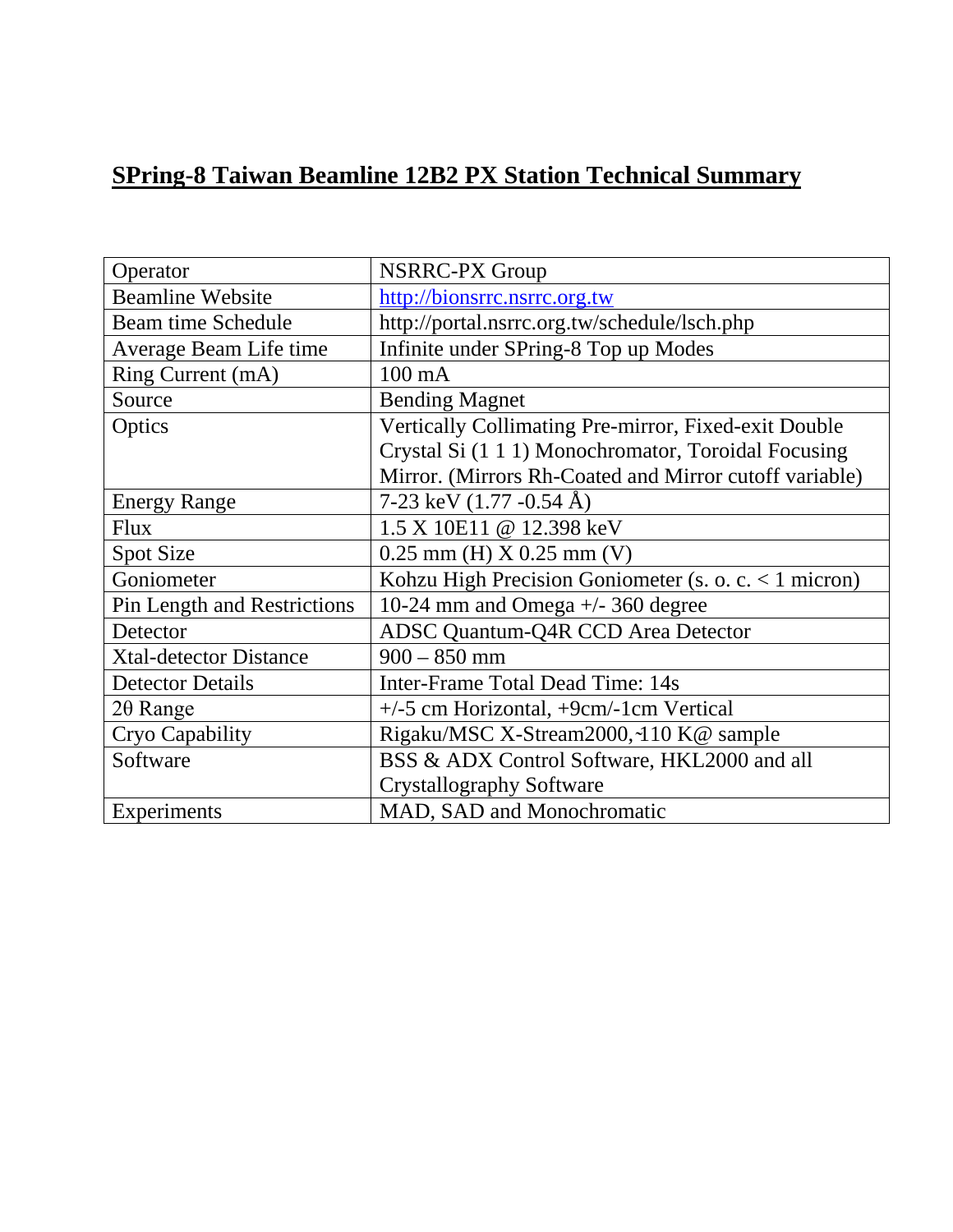### **SPring-8 Taiwan Beamline 12B2 PX Station Technical Summary**

| Operator                           | <b>NSRRC-PX Group</b>                                   |
|------------------------------------|---------------------------------------------------------|
| <b>Beamline Website</b>            | http://bionsrrc.nsrrc.org.tw                            |
| <b>Beam time Schedule</b>          | http://portal.nsrrc.org.tw/schedule/lsch.php            |
| Average Beam Life time             | Infinite under SPring-8 Top up Modes                    |
| Ring Current (mA)                  | $100 \text{ mA}$                                        |
| Source                             | <b>Bending Magnet</b>                                   |
| Optics                             | Vertically Collimating Pre-mirror, Fixed-exit Double    |
|                                    | Crystal Si (1 1 1) Monochromator, Toroidal Focusing     |
|                                    | Mirror. (Mirrors Rh-Coated and Mirror cutoff variable)  |
| <b>Energy Range</b>                | 7-23 keV $(1.77 - 0.54 \text{ Å})$                      |
| <b>Flux</b>                        | 1.5 X 10E11 @ 12.398 keV                                |
| Spot Size                          | $0.25$ mm (H) X $0.25$ mm (V)                           |
| Goniometer                         | Kohzu High Precision Goniometer (s. o. c. $< 1$ micron) |
| <b>Pin Length and Restrictions</b> | 10-24 mm and Omega +/- 360 degree                       |
| Detector                           | <b>ADSC Quantum-Q4R CCD Area Detector</b>               |
| <b>Xtal-detector Distance</b>      | $900 - 850$ mm                                          |
| <b>Detector Details</b>            | <b>Inter-Frame Total Dead Time: 14s</b>                 |
| $2\theta$ Range                    | +/-5 cm Horizontal, +9cm/-1cm Vertical                  |
| Cryo Capability                    | Rigaku/MSC X-Stream2000,~110 K@ sample                  |
| Software                           | BSS & ADX Control Software, HKL2000 and all             |
|                                    | <b>Crystallography Software</b>                         |
| Experiments                        | MAD, SAD and Monochromatic                              |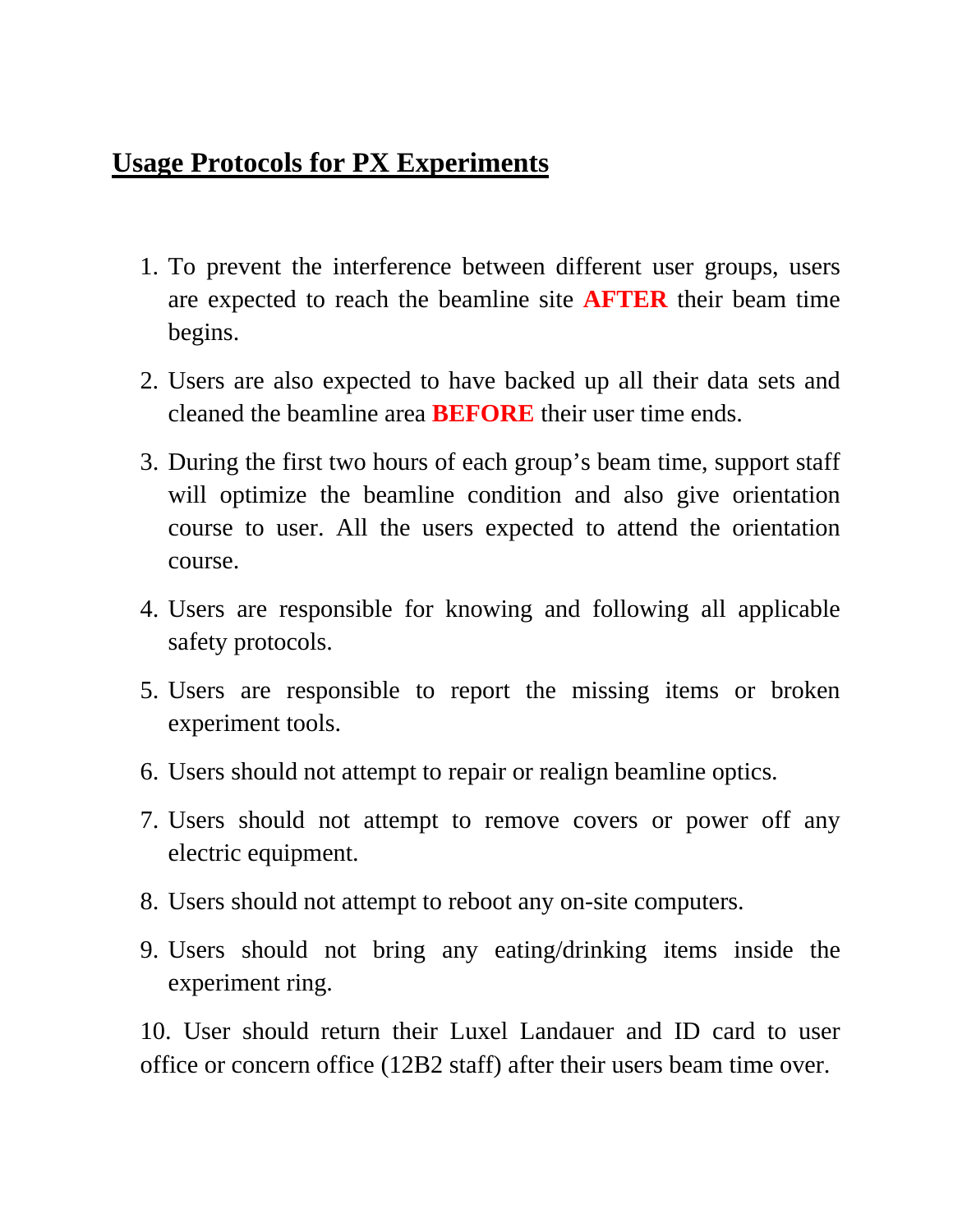### **Usage Protocols for PX Experiments**

- 1. To prevent the interference between different user groups, users are expected to reach the beamline site **AFTER** their beam time begins.
- 2. Users are also expected to have backed up all their data sets and cleaned the beamline area **BEFORE** their user time ends.
- 3. During the first two hours of each group's beam time, support staff will optimize the beamline condition and also give orientation course to user. All the users expected to attend the orientation course.
- 4. Users are responsible for knowing and following all applicable safety protocols.
- 5. Users are responsible to report the missing items or broken experiment tools.
- 6. Users should not attempt to repair or realign beamline optics.
- 7. Users should not attempt to remove covers or power off any electric equipment.
- 8. Users should not attempt to reboot any on-site computers.
- 9. Users should not bring any eating/drinking items inside the experiment ring.

10. User should return their Luxel Landauer and ID card to user office or concern office (12B2 staff) after their users beam time over.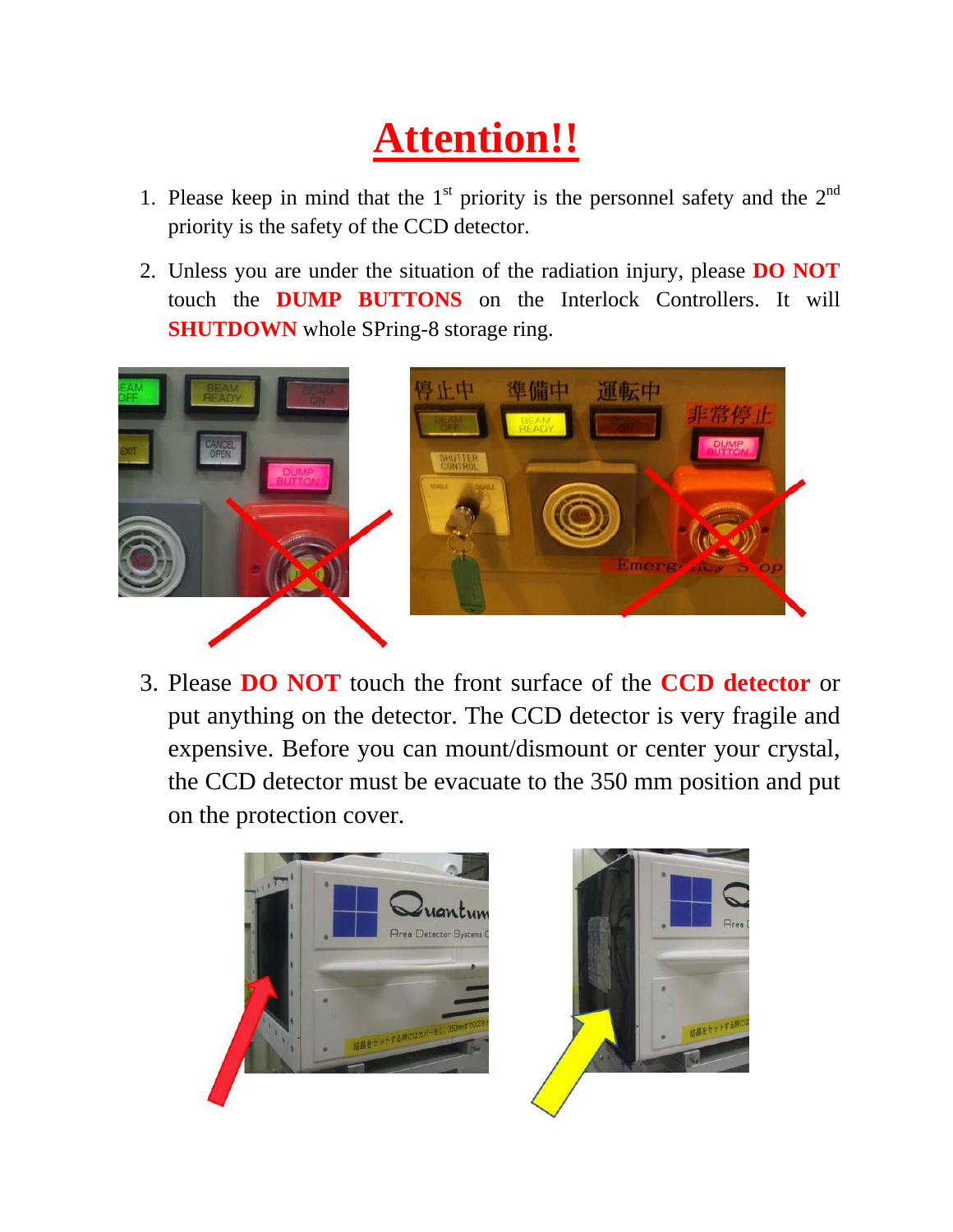# **Attention!!**

- 1. Please keep in mind that the  $1<sup>st</sup>$  priority is the personnel safety and the  $2<sup>nd</sup>$ priority is the safety of the CCD detector.
- 2. Unless you are under the situation of the radiation injury, please **DO NOT** touch the **DUMP BUTTONS** on the Interlock Controllers. It will **SHUTDOWN** whole SPring-8 storage ring.



3. Please **DO NOT** touch the front surface of the **CCD detector** or put anything on the detector. The CCD detector is very fragile and expensive. Before you can mount/dismount or center your crystal, the CCD detector must be evacuate to the 350 mm position and put on the protection cover.

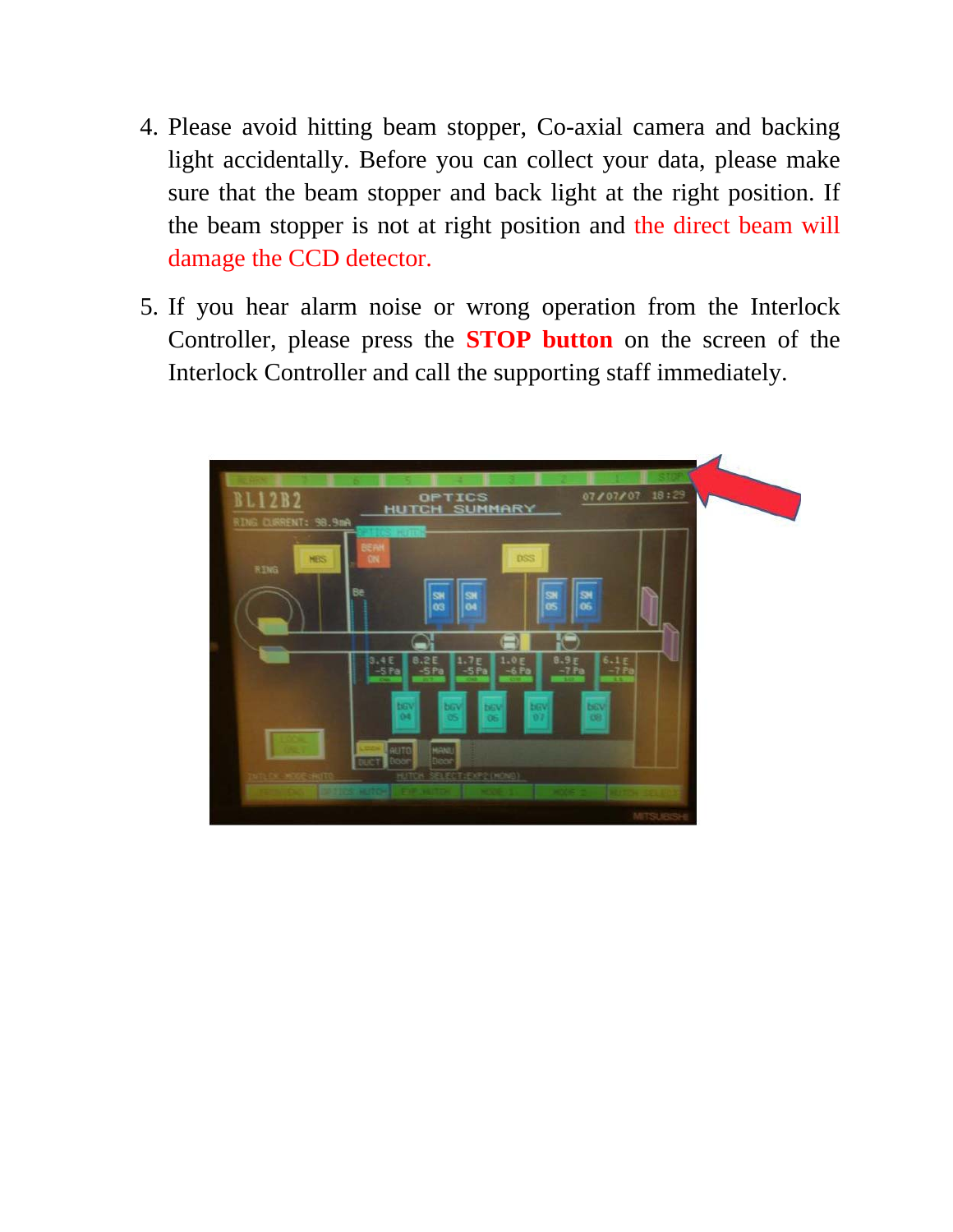- 4. Please avoid hitting beam stopper, Co-axial camera and backing light accidentally. Before you can collect your data, please make sure that the beam stopper and back light at the right position. If the beam stopper is not at right position and the direct beam will damage the CCD detector.
- 5. If you hear alarm noise or wrong operation from the Interlock Controller, please press the **STOP button** on the screen of the Interlock Controller and call the supporting staff immediately.

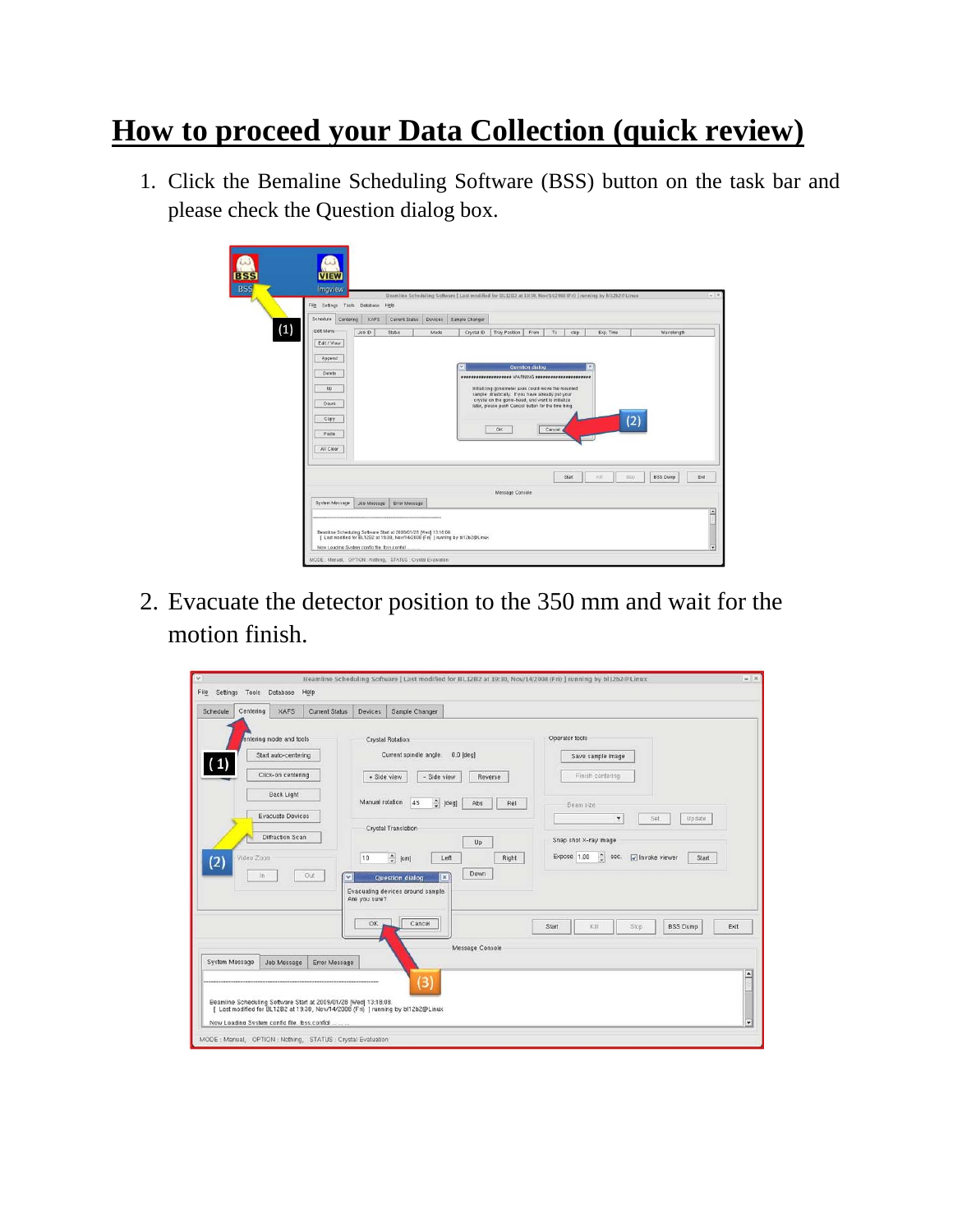### **How to proceed your Data Collection (quick review)**

1. Click the Bemaline Scheduling Software (BSS) button on the task bar and please check the Question dialog box.

|                                                                 | File Settings Tools Database | Help           |         | Beamline Scheduling Software   Last modified for BL12B2 at 19:10, Nov/14/2008 (Fri)   running by b112b2@Linux |                                                                                                                                                                                                                            |                 |        |       |           |             |                 |
|-----------------------------------------------------------------|------------------------------|----------------|---------|---------------------------------------------------------------------------------------------------------------|----------------------------------------------------------------------------------------------------------------------------------------------------------------------------------------------------------------------------|-----------------|--------|-------|-----------|-------------|-----------------|
| Schedule                                                        | XAFS<br>Centering            | Current Status | Devices | Sample Changer                                                                                                |                                                                                                                                                                                                                            |                 |        |       |           |             |                 |
| (1)<br>Edit Menu                                                | Job ID                       | <b>Stabus</b>  | Mode    | Crystal ID                                                                                                    | Tray Position                                                                                                                                                                                                              | From            | To     | step  | Exp. Time |             | Wavelength      |
| Delete<br>Up<br>Down <sup>'</sup><br>Copy<br>Paste<br>All Clear |                              |                |         | $\checkmark$                                                                                                  | Initializing goniometer axes could move the mounted<br>sample drastically. If you have already put your<br>crystal on the gonio-head, and want to initialize<br>later, please push Cancel button for the time bing.<br>OK. | Question dialog | Cancel |       |           | 12          |                 |
|                                                                 |                              |                |         |                                                                                                               | Message Console                                                                                                                                                                                                            |                 |        | Start | KIL       | <b>Stop</b> | <b>BSS Dump</b> |
|                                                                 |                              |                |         |                                                                                                               |                                                                                                                                                                                                                            |                 |        |       |           |             |                 |

2. Evacuate the detector position to the 350 mm and wait for the motion finish.

| Schedule       | Centering  | <b>XAFS</b>             | <b>Current Status</b> | <b>Devices</b>  | Sample Changer                                                                                                                                       |                               |       |                                                               |
|----------------|------------|-------------------------|-----------------------|-----------------|------------------------------------------------------------------------------------------------------------------------------------------------------|-------------------------------|-------|---------------------------------------------------------------|
|                |            |                         |                       |                 |                                                                                                                                                      |                               |       |                                                               |
|                |            | entering mode and tools |                       |                 | <b>Crystal Rotation</b>                                                                                                                              |                               |       | Operator tools                                                |
| $\mathbf{1}$   |            | Start auto-centering    |                       |                 | Current spindle angle:                                                                                                                               | $0.0$ [deg]                   |       | Save sample image                                             |
|                |            | Click-on centering      |                       | + Side view     | - Side view                                                                                                                                          | Reverse                       |       | Finish centering                                              |
|                |            |                         |                       |                 |                                                                                                                                                      |                               |       |                                                               |
|                |            | Back Light              |                       | Manual rotation | 45                                                                                                                                                   | $\hat{z}$ [deg]<br>Abs        | Rel   | Beam size:                                                    |
|                |            | <b>Evacuate Devices</b> |                       |                 |                                                                                                                                                      |                               |       | ٠<br>Set<br>Update:                                           |
|                |            |                         |                       |                 | Crystal Translation                                                                                                                                  |                               |       |                                                               |
|                |            | Diffraction Scan        |                       |                 |                                                                                                                                                      | Up                            |       | Snap shot X-ray image                                         |
| (2)            | Video Zoom |                         |                       | 10              | $\frac{1}{v}$ [um]                                                                                                                                   | Left                          | Right | $\frac{1}{v}$ sec.<br>Expose 1.00<br>V Invoke viewer<br>Start |
|                | In         |                         | Out<br>$\checkmark$   |                 | <b>Question dialog</b>                                                                                                                               | Down<br>$\boldsymbol{\times}$ |       |                                                               |
|                |            |                         |                       |                 | Evacuating devices around sample.                                                                                                                    |                               |       |                                                               |
|                |            |                         |                       | Are you sure?   |                                                                                                                                                      |                               |       |                                                               |
|                |            |                         |                       |                 |                                                                                                                                                      |                               |       |                                                               |
|                |            |                         |                       | OK              | Cancel                                                                                                                                               |                               |       | Start<br>Kill<br>Stop<br><b>BSS Dump</b><br>Exit              |
|                |            |                         |                       |                 |                                                                                                                                                      | Message Console               |       |                                                               |
| System Message |            | Job Message             | Error Message         |                 |                                                                                                                                                      |                               |       |                                                               |
|                |            |                         |                       |                 |                                                                                                                                                      |                               |       |                                                               |
|                |            |                         |                       |                 | $\overline{3}$                                                                                                                                       |                               |       |                                                               |
|                |            |                         |                       |                 | Beamline Scheduling Software Start at 2009/01/28 [Wed] 13:18:08.<br>[ Last modified for BL12B2 at 19:30, Nov/14/2008 (Fri) ] running by bl12b2@Linux |                               |       |                                                               |
|                |            |                         |                       |                 |                                                                                                                                                      |                               |       |                                                               |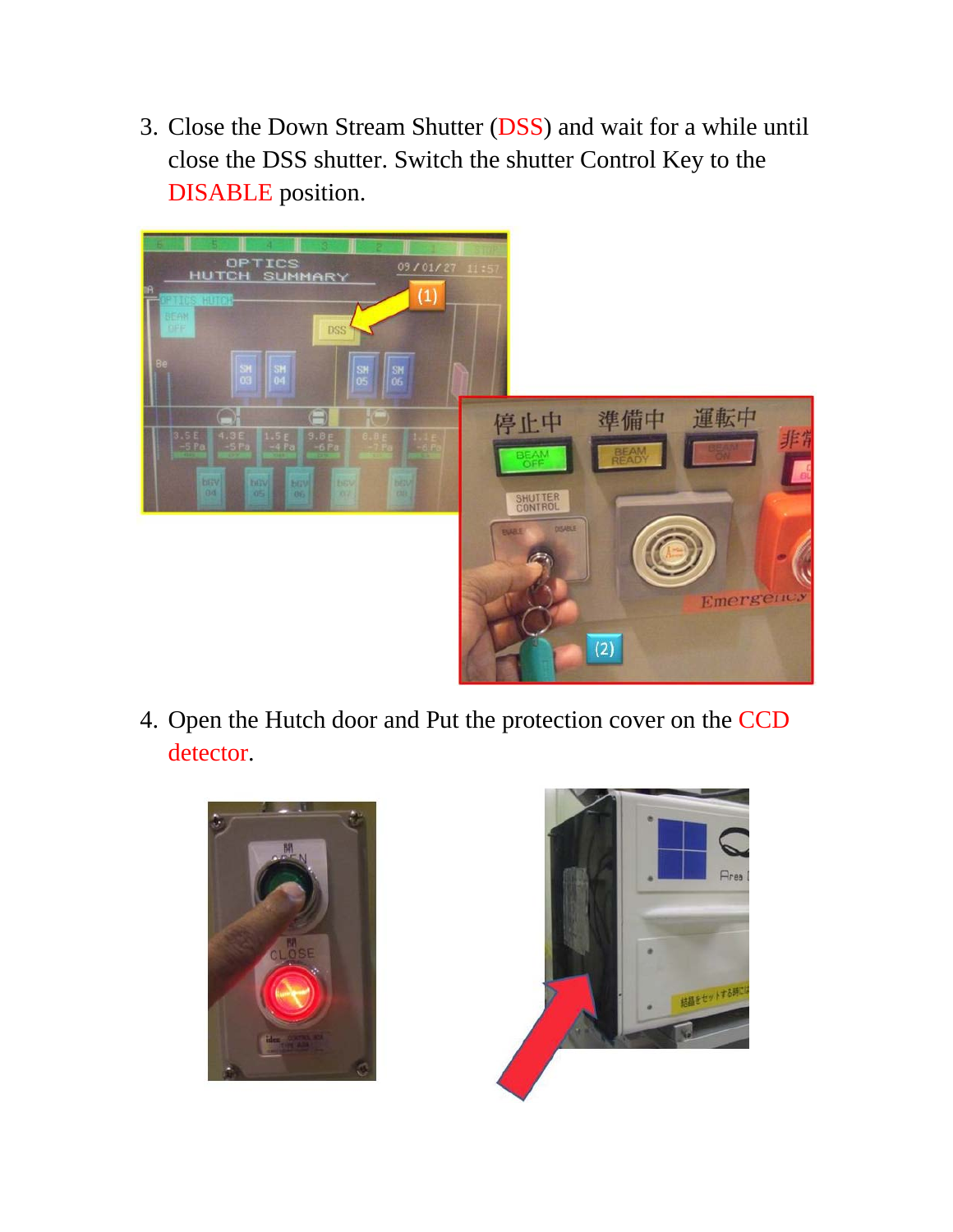3. Close the Down Stream Shutter (DSS) and wait for a while until close the DSS shutter. Switch the shutter Control Key to the DISABLE position.



4. Open the Hutch door and Put the protection cover on the CCD detector.



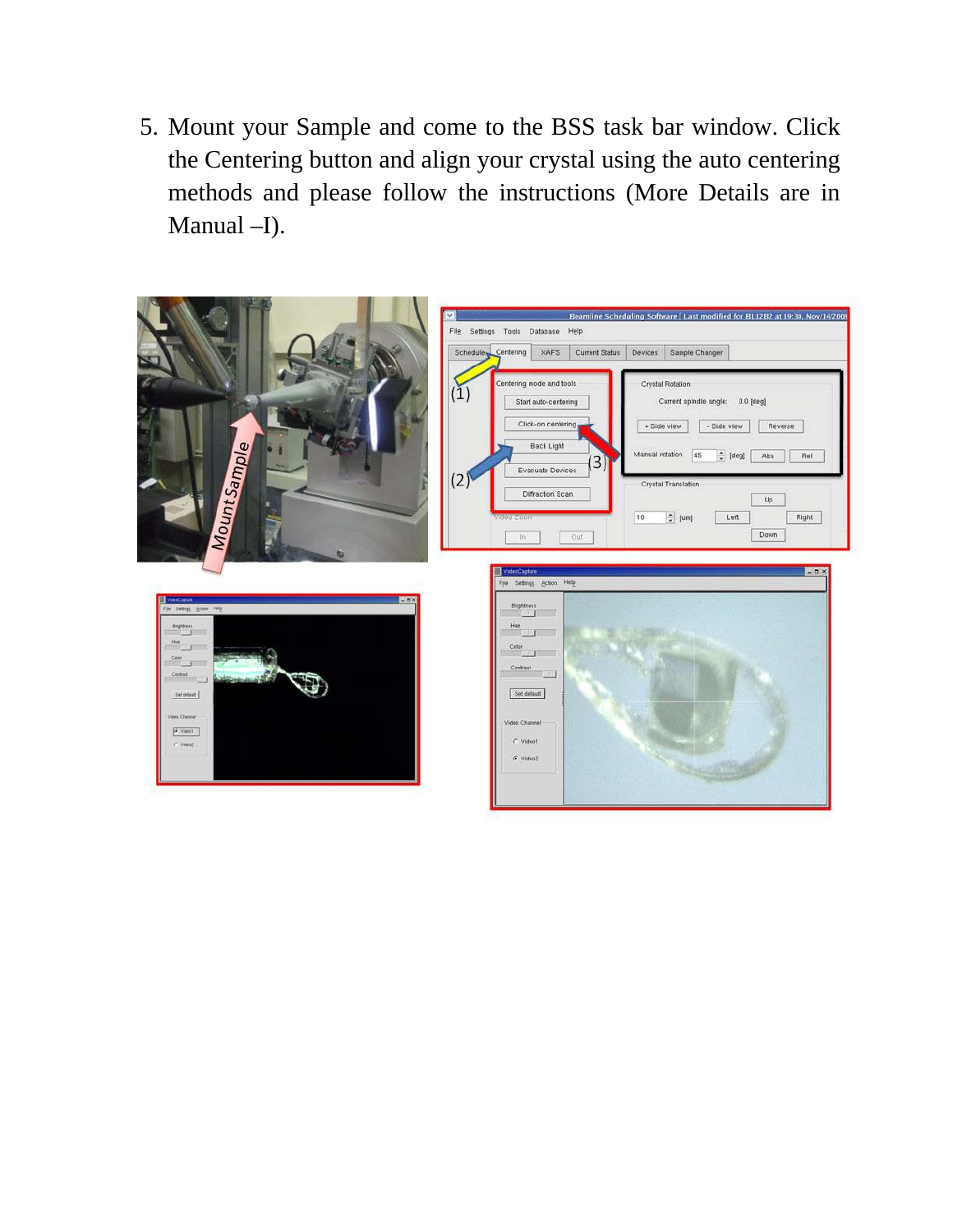5. Mount your Sample and come to the BSS task bar window. Click the Centering button and align your crystal using the auto centering methods and please follow the instructions (More Details are in Manual –I).

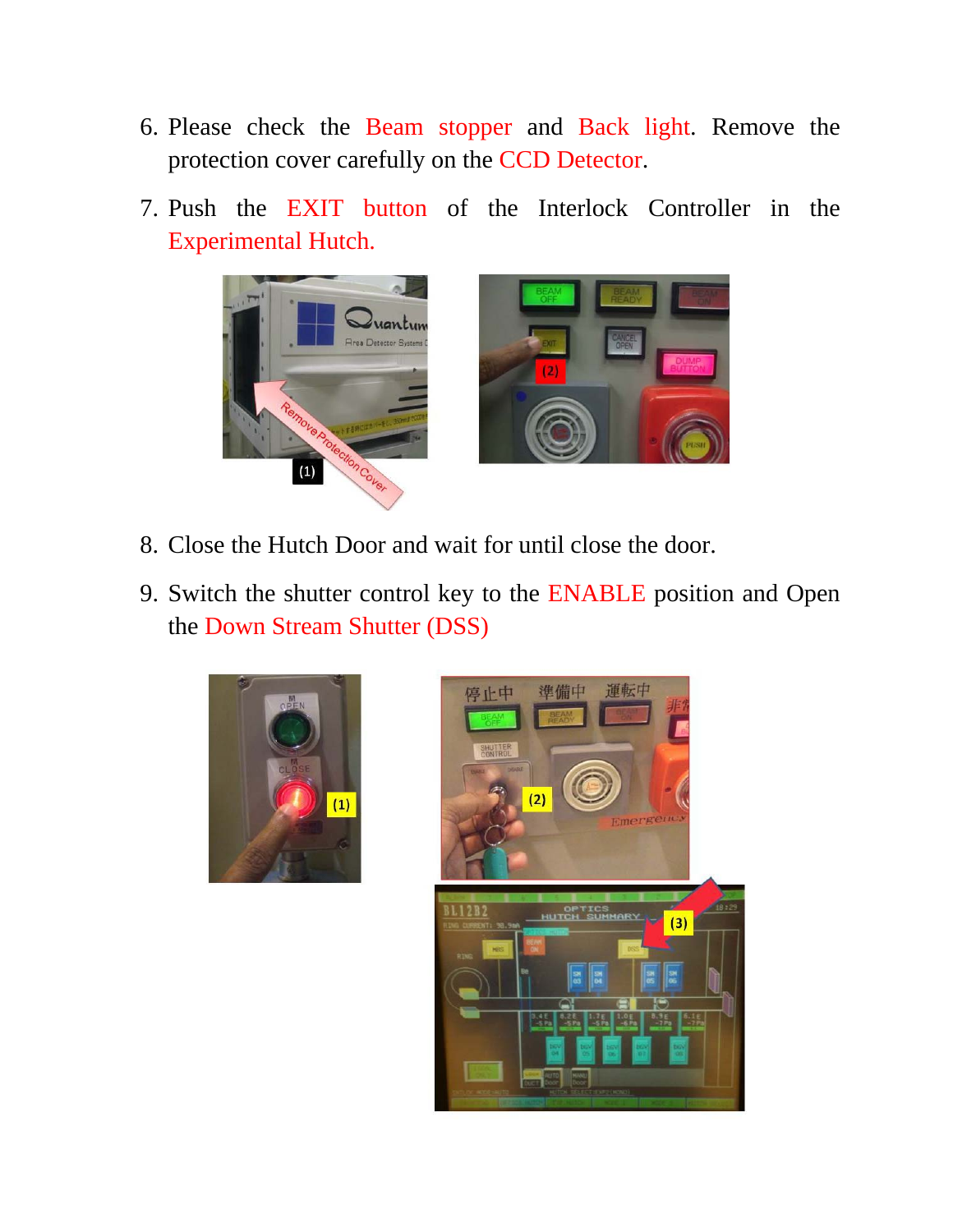- 6. Please check the Beam stopper and Back light. Remove the protection cover carefully on the CCD Detector.
- 7. Push the EXIT button of the Interlock Controller in the Experimental Hutch.

![](_page_8_Picture_2.jpeg)

![](_page_8_Picture_3.jpeg)

- 8. Close the Hutch Door and wait for until close the door.
- 9. Switch the shutter control key to the ENABLE position and Open the Down Stream Shutter (DSS)

![](_page_8_Picture_6.jpeg)

![](_page_8_Picture_7.jpeg)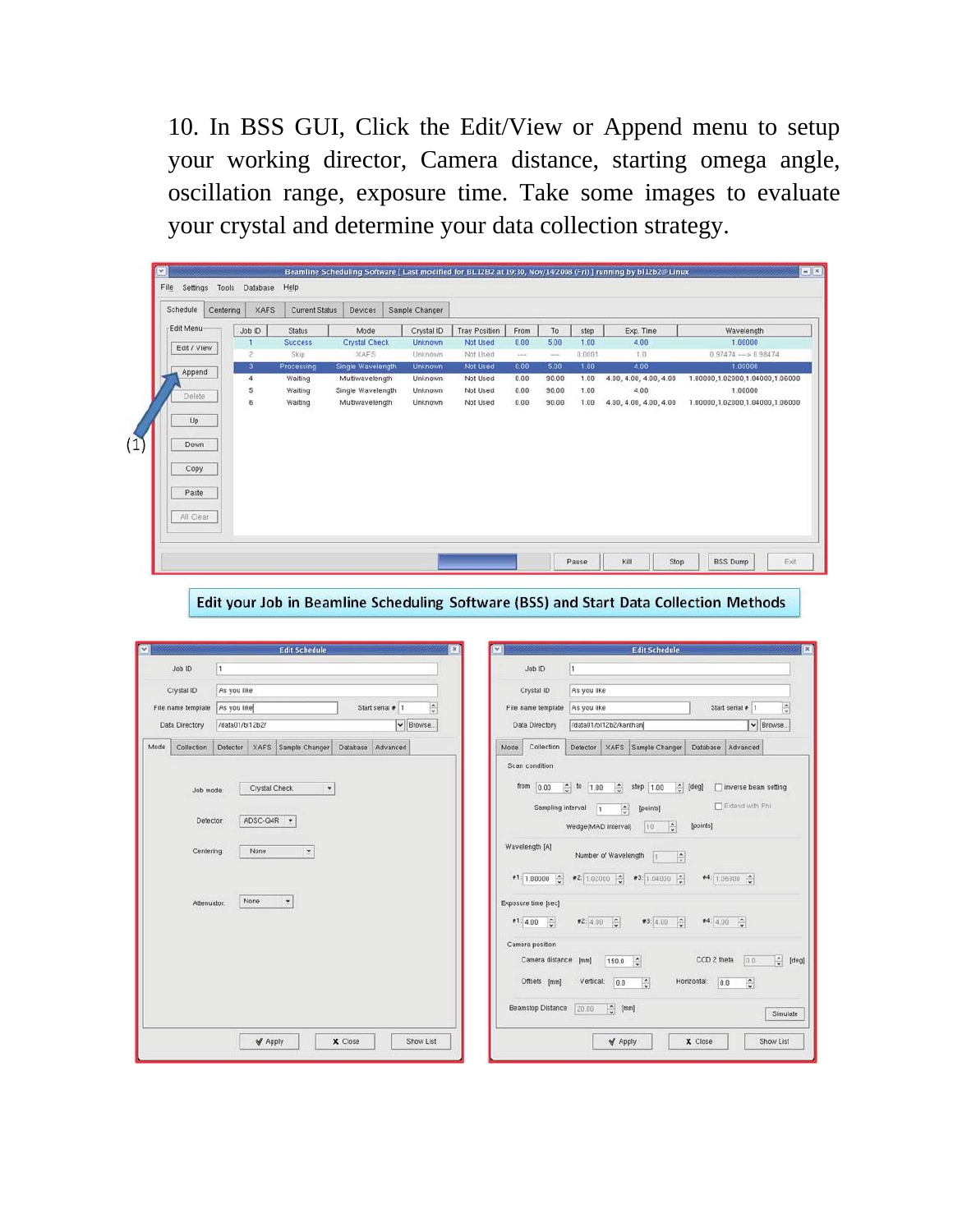10. In BSS GUI, Click the Edit/View or Append menu to setup your working director, Camera distance, starting omega angle, oscillation range, exposure time. Take some images to evaluate your crystal and determine your data collection strategy.

| Schedule                                 | Centering | <b>XAFS</b>    | <b>Current Status</b> | Devices.             | Sample Changer |                      |              |       |        |                        |                                   |
|------------------------------------------|-----------|----------------|-----------------------|----------------------|----------------|----------------------|--------------|-------|--------|------------------------|-----------------------------------|
| Edit Menu                                |           | Job ID         | <b>Status</b>         | Mode                 | Crystal ID     | <b>Tray Position</b> | From         | To    | step   | Exp. Time              | Wavelength                        |
| Edit / View                              |           |                | <b>Success</b>        | <b>Crystal Check</b> | Unknown        | Not Used             | 0.00         | 5.00  | 1.00   | 4.00                   | 1.00000                           |
|                                          |           | $\overline{c}$ | Skip                  | <b>XAFS</b>          | Unknown        | Not Used             | 1.1.0        | 2.24  | 0.0001 | 1.0.                   | $0.97474 \longrightarrow 0.98474$ |
| Append                                   |           | 3              | Processing            | Single Wavelength    | <b>Unknown</b> | Not Used             | 0.00         | 5.00  | 1.00   | 4.00                   | 1.00000                           |
|                                          |           | $\overline{4}$ | Waiting               | Multiwavelength      | Unknown        | Not Used             | 0.00         | 90.00 | 1.00   | 4.00, 4.00, 4.00, 4.00 | 1.00000,1.02000,1.04000,1.06000   |
| Delete                                   |           | 5<br>6         | Waiting               | Single Wavelength    | Unknown        | Not Used             | 0.00<br>0.00 | 90.00 | 1.00   | 4.00                   | 1.00000                           |
| Up<br>Down<br>Copy<br>Paste<br>All Clear |           |                |                       |                      |                |                      |              |       |        |                        |                                   |

Edit your Job in Beamline Scheduling Software (BSS) and Start Data Collection Methods

| $\overline{\phantom{a}}$                            |                          | <b>Edit Schedule</b>                                                                  |          |                               | $\pmb{\times}$          | $\checkmark$                                                                                                                                                           |                                                                                                                                             | <b>Edit Schedule</b>                                                                                                                                                                                  |                                                              |                                                                               |               |
|-----------------------------------------------------|--------------------------|---------------------------------------------------------------------------------------|----------|-------------------------------|-------------------------|------------------------------------------------------------------------------------------------------------------------------------------------------------------------|---------------------------------------------------------------------------------------------------------------------------------------------|-------------------------------------------------------------------------------------------------------------------------------------------------------------------------------------------------------|--------------------------------------------------------------|-------------------------------------------------------------------------------|---------------|
| Job ID                                              | l t                      |                                                                                       |          |                               |                         | Job ID                                                                                                                                                                 | h                                                                                                                                           |                                                                                                                                                                                                       |                                                              |                                                                               |               |
| Crystal ID                                          | As you like              |                                                                                       |          |                               |                         | Crystal ID                                                                                                                                                             | As you like                                                                                                                                 |                                                                                                                                                                                                       |                                                              |                                                                               |               |
| File name template                                  | As you like              |                                                                                       |          | Start serial # 1              | $\frac{\bullet}{\circ}$ | File name template                                                                                                                                                     | As you like                                                                                                                                 |                                                                                                                                                                                                       | Start serial # 1                                             |                                                                               | $\hat{\cdot}$ |
| Data Directory                                      | /data01/bl12b2/          |                                                                                       |          | $\blacktriangleright$ Browse. |                         | Data Directory                                                                                                                                                         | /data01/bl12b2/kanthan                                                                                                                      |                                                                                                                                                                                                       |                                                              | ↓ Browse.                                                                     |               |
| Mode<br>Collection                                  | Detector                 | XAFS Sample Changer                                                                   | Database | Advanced                      |                         | Collection<br>Mode                                                                                                                                                     | Detector                                                                                                                                    | XAFS Sample Changer                                                                                                                                                                                   | Database Advanced                                            |                                                                               |               |
| Job mode:<br>Defector:<br>Centering:<br>Attenuator: | ADSC-Q4R<br>None<br>None | Crystal Check<br>$\star$<br>$\check{\phantom{a}}$<br>$\check{\phantom{a}}$<br>$\star$ |          |                               |                         | from<br>0.00<br>Sampling interval<br>Wavelength [A]<br>$\bullet$ 1: 1.00000 $\frac{1}{2}$<br>Exposure time [sec]<br>圖<br>91:4.00<br>Camera position<br>Camera distance | $\frac{1}{2}$<br>to<br>1.00<br>l١<br>Wedge(MAD interval)<br>Number of Wavelength<br>●2: 1.02000 0<br>$ \hat{z} $<br>2:4.00<br>[mm]<br>150.0 | 칅<br>$ \hat{z} $<br>step 1.00<br>$\frac{1}{2}$<br>[points]<br>$\frac{\bullet}{\bullet}$<br>10<br>$\frac{1}{v}$<br>H.<br>#3: 1.04000 $\frac{4}{9}$<br>93:4.00<br>$ \hat{\mathbf{c}} $<br>$\frac{1}{2}$ | [deg]<br>[points]<br>●4: 1.06000 0<br>44:4.00<br>CCD 2 theta | inverse beam setting<br>Extend with Phi<br>$\vert \hat{\cdot} \rangle$<br>0.0 | 데<br>[deg]    |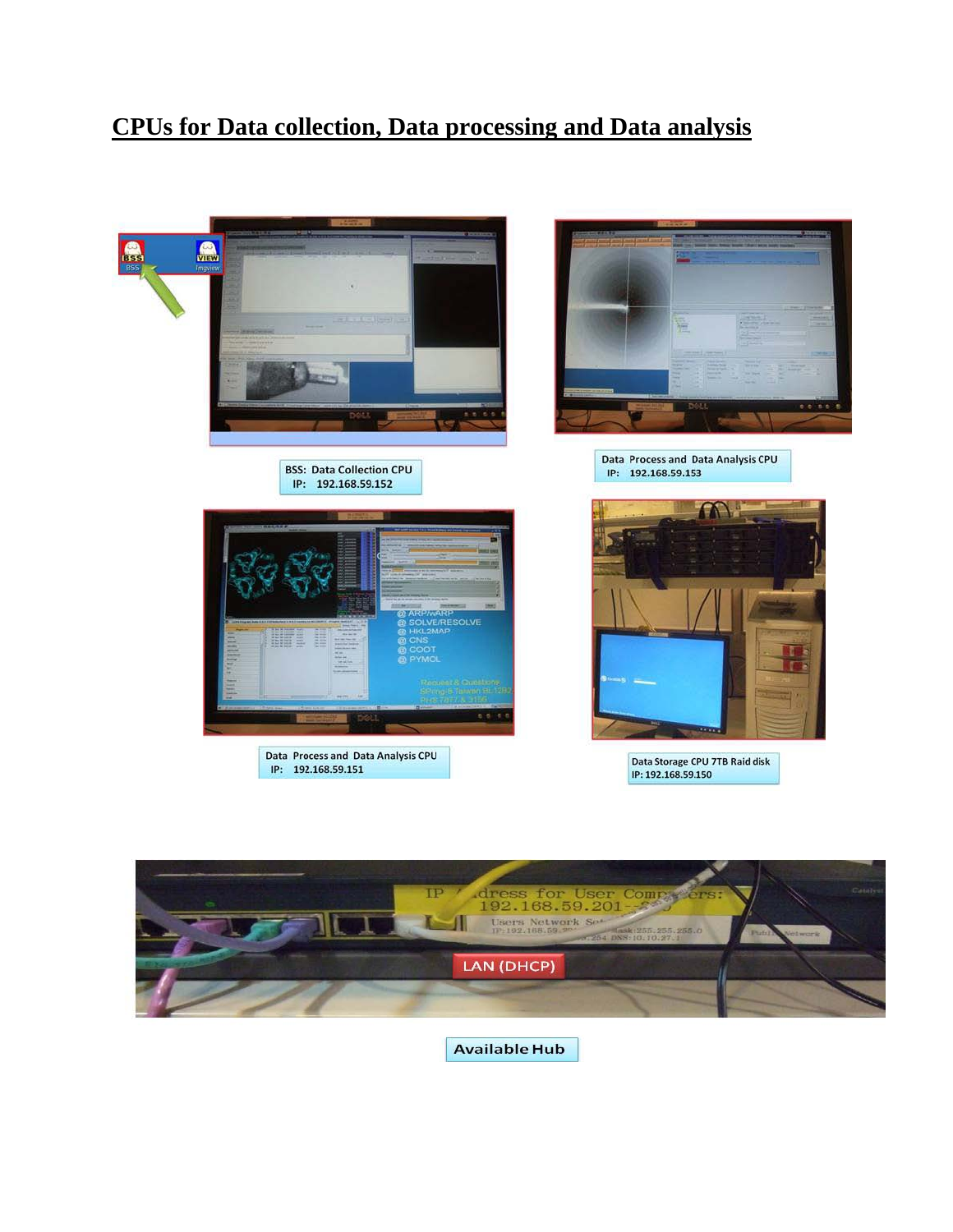### **CPUs for Data collection, Data processing and Data analysis**

![](_page_10_Picture_1.jpeg)

![](_page_10_Picture_2.jpeg)

**Available Hub**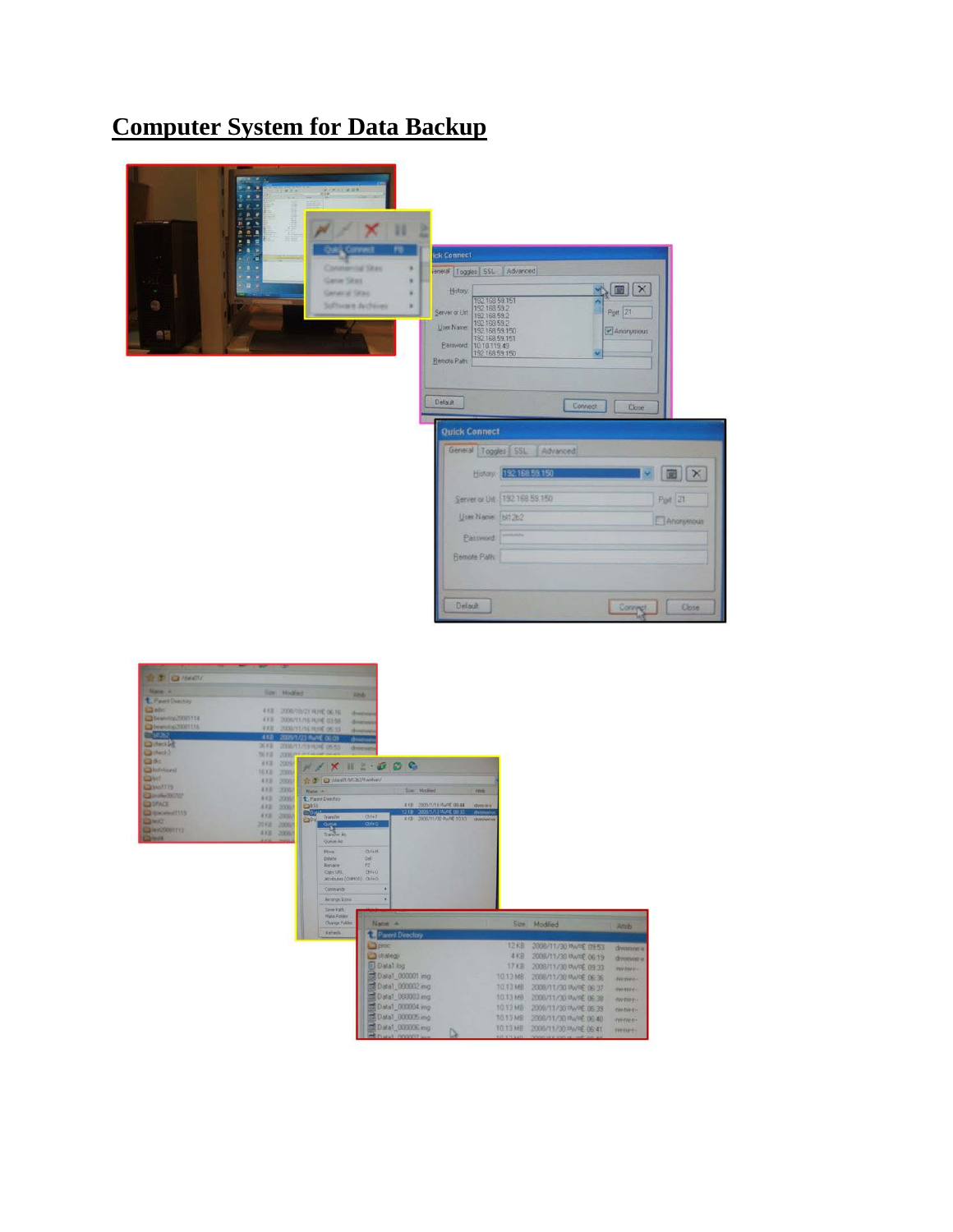### **Computer System for Data Backup**

![](_page_11_Picture_1.jpeg)

| Nava a                    |                | Spe Moded                        |                                  |                                                             |                                       |            |          |                                                           |                                                |
|---------------------------|----------------|----------------------------------|----------------------------------|-------------------------------------------------------------|---------------------------------------|------------|----------|-----------------------------------------------------------|------------------------------------------------|
| L. Paunt Directory        |                |                                  |                                  | <b>Alberta</b>                                              |                                       |            |          |                                                           |                                                |
| <b>L'audio</b>            |                | 4 KB 2009/10/21 HUNE 06:14:      |                                  | dividinary                                                  |                                       |            |          |                                                           |                                                |
| C314444420001114          | る子説            | 2009/15/16 1010 03:58            |                                  | <b><i><u>Bronzforces</u></i></b>                            |                                       |            |          |                                                           |                                                |
| 23 beam dop 20081156      |                | <b>4 KB</b> 200M/ST/SERUIE 09:33 |                                  | <b>driversals</b>                                           |                                       |            |          |                                                           |                                                |
| $-50252$                  | 432            | 2005/1/23 Rulet 00:09            |                                  | change                                                      |                                       |            |          |                                                           |                                                |
| <b>Cachers Lit</b>        | 300            | 2008/11/13 电/毛 (553)             |                                  | <b><i><u>Фонечни</u></i></b>                                |                                       |            |          |                                                           |                                                |
| <b>District</b><br>QSE    | 56.93          | <b>COOK PERMIT</b>               |                                  |                                                             |                                       |            |          |                                                           |                                                |
| <b>Calculations</b>       | 名天西            | 3005/                            |                                  | $X \parallel Y \parallel 2 \cdot 2 \parallel C \parallel C$ |                                       |            |          |                                                           |                                                |
| Q(1)                      | 16 KB          | 2005/                            | St. T. D /data01/bf12b2/kanthan/ |                                                             |                                       |            |          |                                                           |                                                |
| CHANNEL !!                | <b>AKB</b>     | DODG/                            |                                  |                                                             |                                       |            |          |                                                           |                                                |
| C3 profile(30)707         | 43.8           | 2006/                            | Name: A                          |                                                             | Size Modfied                          | Attib      |          |                                                           |                                                |
| <b>CORPACE</b>            | 4.631<br>4.830 | 2009<br>20067                    | <sup>t</sup> Parent Directory    |                                                             | 4 KB 2009/1/16 WVRE 09:44             | dvoration. |          |                                                           |                                                |
| <b>California et 1135</b> | 4.831          | <b>La BSS</b><br>2000            | Transfer                         | Chi+T                                                       | 12 KB 2009/1/13 WARE 09:30            | dvancery   |          |                                                           |                                                |
| <b>Case of</b>            | 2018           | CaDa.<br>2006/                   | One.                             | $Crf + Q$                                                   | 4 KB 2008/11/30 PMPE 10:13 diveryants |            |          |                                                           |                                                |
| E214000081111             | 433 2006/      |                                  | Trancher At                      |                                                             |                                       |            |          |                                                           |                                                |
| <b>Carlesta</b>           |                | <b>Jan Media</b>                 | Queue Ai                         |                                                             |                                       |            |          |                                                           |                                                |
|                           |                |                                  | Nove                             | <b>Chillen</b>                                              |                                       |            |          |                                                           |                                                |
|                           |                |                                  | <b>Delete</b>                    | Del-                                                        |                                       |            |          |                                                           |                                                |
|                           |                |                                  | Rename                           | F2<br>ChHH                                                  |                                       |            |          |                                                           |                                                |
|                           |                |                                  |                                  |                                                             |                                       |            |          |                                                           |                                                |
|                           |                |                                  | Copy UPL                         | Attributes (OW100) Ctrl+O                                   |                                       |            |          |                                                           |                                                |
|                           |                |                                  | Commands                         |                                                             |                                       |            |          |                                                           |                                                |
|                           |                |                                  | Arriange Isses                   |                                                             |                                       |            |          |                                                           |                                                |
|                           |                |                                  | Save Path                        |                                                             |                                       |            |          |                                                           |                                                |
|                           |                |                                  | Make Folder                      |                                                             |                                       |            |          |                                                           |                                                |
|                           |                |                                  | Change Folder                    | Name : A                                                    |                                       |            |          | Size Modified                                             | Altrib                                         |
|                           |                |                                  | Refresh                          |                                                             | Parent Directory                      |            |          |                                                           |                                                |
|                           |                |                                  |                                  | <b>O</b> proc                                               |                                       |            | 12KB     | 2008/11/30 AVRE 09:53                                     |                                                |
|                           |                |                                  |                                  | <b>Butrategy</b>                                            |                                       |            | 本米县      | 2008/11/30 Myr 206:19                                     |                                                |
|                           |                |                                  |                                  | D Data1.log                                                 |                                       |            | 17 KB    |                                                           |                                                |
|                           |                |                                  |                                  |                                                             |                                       |            |          | 2008/11/30 MyreE 09:33                                    | <b>THERMEN</b>                                 |
|                           |                |                                  |                                  |                                                             | Call 0 at a1 000001 img               |            | 10.13 MB | 2008/11/30 MWH 06.36                                      | <b>TW-twell</b>                                |
|                           |                |                                  |                                  |                                                             | Ed Data1.000002 mg                    |            | TO 13 MB | 2008/11/30 PW C 06:37                                     | <b>Homes</b>                                   |
|                           |                |                                  |                                  |                                                             | Data1 000003 mg                       |            | 1013 MB  | 2008/11/30 PW/PE 06:38                                    | <b>TWINFIL</b>                                 |
|                           |                |                                  |                                  |                                                             | Coll Data1_000004 mg                  |            | 1013 MB  | 2008/11/30 PWPE 06:39                                     | <b>TW-TWEE-</b>                                |
|                           |                |                                  |                                  |                                                             | 图 Data1 000005 mg<br>Data1 000006 mg  |            | 10.13 MB | 10.13 MB 2008/11/30 RW PE 06.40<br>2008/11/30 MW OF DR 41 | dreamer's<br>driviousl-se<br><b>THI-TOP E-</b> |